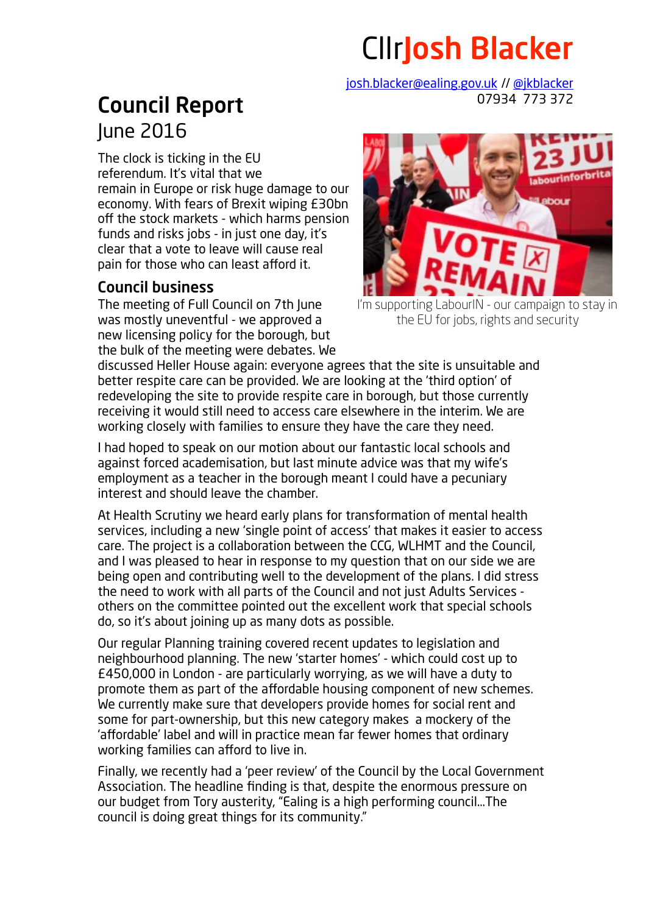## CllrJosh Blacker

[josh.blacker@ealing.gov.uk](mailto:josh.blacker@ealing.gov.uk) // [@jkblacker](http://twitter.com/jkblacker) 07934 773 372

## Council Report June 2016

The clock is ticking in the EU referendum. It's vital that we remain in Europe or risk huge damage to our economy. With fears of Brexit wiping £30bn off the stock markets - which harms pension funds and risks jobs - in just one day, it's clear that a vote to leave will cause real pain for those who can least afford it.

## Council business

The meeting of Full Council on 7th June was mostly uneventful - we approved a new licensing policy for the borough, but the bulk of the meeting were debates. We



I'm supporting LabourIN - our campaign to stay in the EU for jobs, rights and security

discussed Heller House again: everyone agrees that the site is unsuitable and better respite care can be provided. We are looking at the 'third option' of redeveloping the site to provide respite care in borough, but those currently receiving it would still need to access care elsewhere in the interim. We are working closely with families to ensure they have the care they need.

I had hoped to speak on our motion about our fantastic local schools and against forced academisation, but last minute advice was that my wife's employment as a teacher in the borough meant I could have a pecuniary interest and should leave the chamber.

At Health Scrutiny we heard early plans for transformation of mental health services, including a new 'single point of access' that makes it easier to access care. The project is a collaboration between the CCG, WLHMT and the Council, and I was pleased to hear in response to my question that on our side we are being open and contributing well to the development of the plans. I did stress the need to work with all parts of the Council and not just Adults Services others on the committee pointed out the excellent work that special schools do, so it's about joining up as many dots as possible.

Our regular Planning training covered recent updates to legislation and neighbourhood planning. The new 'starter homes' - which could cost up to £450,000 in London - are particularly worrying, as we will have a duty to promote them as part of the affordable housing component of new schemes. We currently make sure that developers provide homes for social rent and some for part-ownership, but this new category makes a mockery of the 'affordable' label and will in practice mean far fewer homes that ordinary working families can afford to live in.

Finally, we recently had a 'peer review' of the Council by the Local Government Association. The headline finding is that, despite the enormous pressure on our budget from Tory austerity, "Ealing is a high performing council…The council is doing great things for its community."